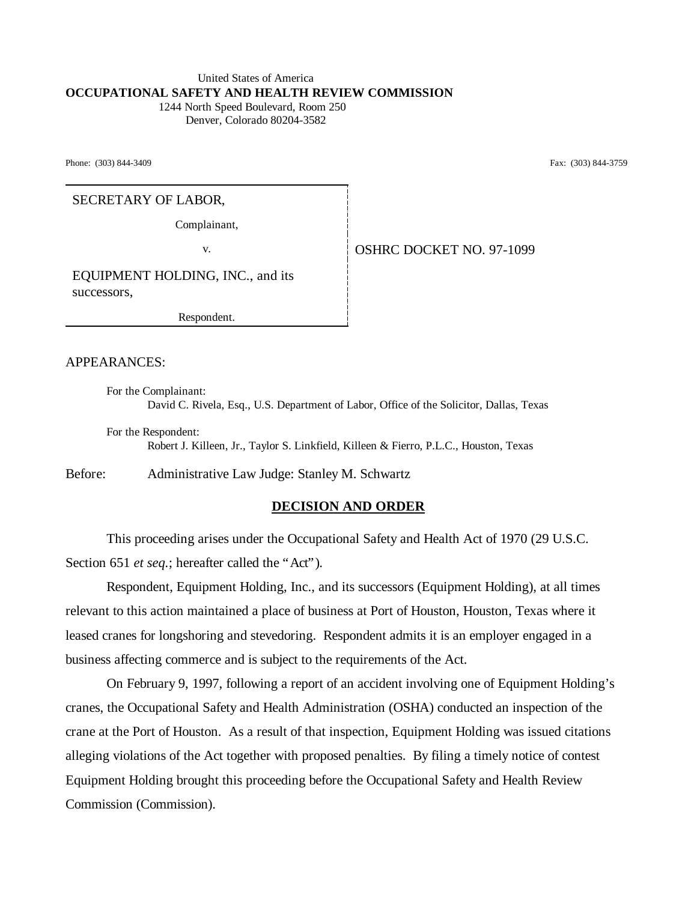#### United States of America **OCCUPATIONAL SAFETY AND HEALTH REVIEW COMMISSION** 1244 North Speed Boulevard, Room 250

Denver, Colorado 80204-3582

Phone: (303) 844-3409 Fax: (303) 844-3759

SECRETARY OF LABOR,

Complainant,

v. **OSHRC DOCKET NO. 97-1099** 

EQUIPMENT HOLDING, INC., and its successors,

Respondent.

APPEARANCES:

For the Complainant: David C. Rivela, Esq., U.S. Department of Labor, Office of the Solicitor, Dallas, Texas

For the Respondent: Robert J. Killeen, Jr., Taylor S. Linkfield, Killeen & Fierro, P.L.C., Houston, Texas

Before: Administrative Law Judge: Stanley M. Schwartz

## **DECISION AND ORDER**

This proceeding arises under the Occupational Safety and Health Act of 1970 (29 U.S.C. Section 651 *et seq.*; hereafter called the "Act").

Respondent, Equipment Holding, Inc., and its successors (Equipment Holding), at all times relevant to this action maintained a place of business at Port of Houston, Houston, Texas where it leased cranes for longshoring and stevedoring. Respondent admits it is an employer engaged in a business affecting commerce and is subject to the requirements of the Act.

On February 9, 1997, following a report of an accident involving one of Equipment Holding's cranes, the Occupational Safety and Health Administration (OSHA) conducted an inspection of the crane at the Port of Houston. As a result of that inspection, Equipment Holding was issued citations alleging violations of the Act together with proposed penalties. By filing a timely notice of contest Equipment Holding brought this proceeding before the Occupational Safety and Health Review Commission (Commission).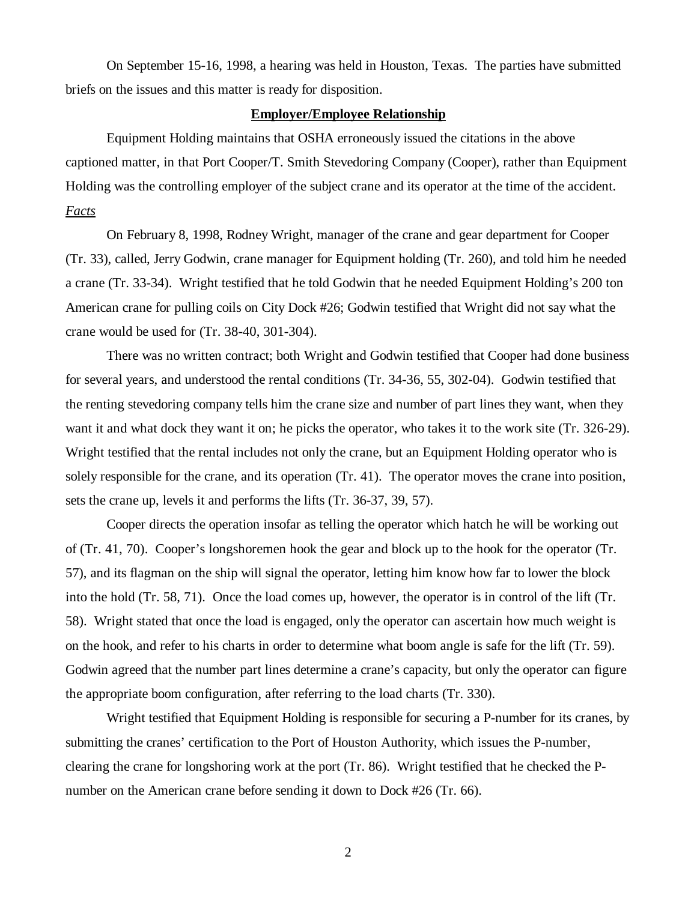On September 15-16, 1998, a hearing was held in Houston, Texas. The parties have submitted briefs on the issues and this matter is ready for disposition.

## **Employer/Employee Relationship**

Equipment Holding maintains that OSHA erroneously issued the citations in the above captioned matter, in that Port Cooper/T. Smith Stevedoring Company (Cooper), rather than Equipment Holding was the controlling employer of the subject crane and its operator at the time of the accident. *Facts*

On February 8, 1998, Rodney Wright, manager of the crane and gear department for Cooper (Tr. 33), called, Jerry Godwin, crane manager for Equipment holding (Tr. 260), and told him he needed a crane (Tr. 33-34). Wright testified that he told Godwin that he needed Equipment Holding's 200 ton American crane for pulling coils on City Dock #26; Godwin testified that Wright did not say what the crane would be used for (Tr. 38-40, 301-304).

There was no written contract; both Wright and Godwin testified that Cooper had done business for several years, and understood the rental conditions (Tr. 34-36, 55, 302-04). Godwin testified that the renting stevedoring company tells him the crane size and number of part lines they want, when they want it and what dock they want it on; he picks the operator, who takes it to the work site (Tr. 326-29). Wright testified that the rental includes not only the crane, but an Equipment Holding operator who is solely responsible for the crane, and its operation (Tr. 41). The operator moves the crane into position, sets the crane up, levels it and performs the lifts (Tr. 36-37, 39, 57).

Cooper directs the operation insofar as telling the operator which hatch he will be working out of (Tr. 41, 70). Cooper's longshoremen hook the gear and block up to the hook for the operator (Tr. 57), and its flagman on the ship will signal the operator, letting him know how far to lower the block into the hold (Tr. 58, 71). Once the load comes up, however, the operator is in control of the lift (Tr. 58). Wright stated that once the load is engaged, only the operator can ascertain how much weight is on the hook, and refer to his charts in order to determine what boom angle is safe for the lift (Tr. 59). Godwin agreed that the number part lines determine a crane's capacity, but only the operator can figure the appropriate boom configuration, after referring to the load charts (Tr. 330).

 Wright testified that Equipment Holding is responsible for securing a P-number for its cranes, by submitting the cranes' certification to the Port of Houston Authority, which issues the P-number, clearing the crane for longshoring work at the port (Tr. 86). Wright testified that he checked the Pnumber on the American crane before sending it down to Dock #26 (Tr. 66).

2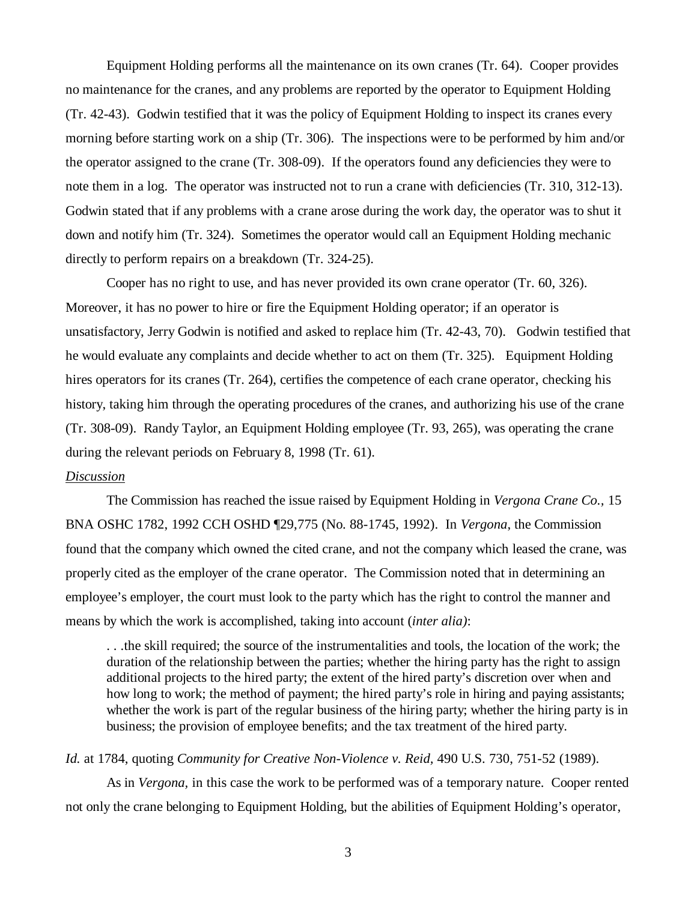Equipment Holding performs all the maintenance on its own cranes (Tr. 64). Cooper provides no maintenance for the cranes, and any problems are reported by the operator to Equipment Holding (Tr. 42-43). Godwin testified that it was the policy of Equipment Holding to inspect its cranes every morning before starting work on a ship (Tr. 306). The inspections were to be performed by him and/or the operator assigned to the crane (Tr. 308-09). If the operators found any deficiencies they were to note them in a log. The operator was instructed not to run a crane with deficiencies (Tr. 310, 312-13). Godwin stated that if any problems with a crane arose during the work day, the operator was to shut it down and notify him (Tr. 324). Sometimes the operator would call an Equipment Holding mechanic directly to perform repairs on a breakdown (Tr. 324-25).

Cooper has no right to use, and has never provided its own crane operator (Tr. 60, 326). Moreover, it has no power to hire or fire the Equipment Holding operator; if an operator is unsatisfactory, Jerry Godwin is notified and asked to replace him (Tr. 42-43, 70). Godwin testified that he would evaluate any complaints and decide whether to act on them (Tr. 325). Equipment Holding hires operators for its cranes (Tr. 264), certifies the competence of each crane operator, checking his history, taking him through the operating procedures of the cranes, and authorizing his use of the crane (Tr. 308-09). Randy Taylor, an Equipment Holding employee (Tr. 93, 265), was operating the crane during the relevant periods on February 8, 1998 (Tr. 61).

## *Discussion*

The Commission has reached the issue raised by Equipment Holding in *Vergona Crane Co.,* 15 BNA OSHC 1782, 1992 CCH OSHD ¶29,775 (No. 88-1745, 1992). In *Vergona*, the Commission found that the company which owned the cited crane, and not the company which leased the crane, was properly cited as the employer of the crane operator. The Commission noted that in determining an employee's employer, the court must look to the party which has the right to control the manner and means by which the work is accomplished, taking into account (*inter alia)*:

. . .the skill required; the source of the instrumentalities and tools, the location of the work; the duration of the relationship between the parties; whether the hiring party has the right to assign additional projects to the hired party; the extent of the hired party's discretion over when and how long to work; the method of payment; the hired party's role in hiring and paying assistants; whether the work is part of the regular business of the hiring party; whether the hiring party is in business; the provision of employee benefits; and the tax treatment of the hired party.

#### *Id.* at 1784, quoting *Community for Creative Non-Violence v. Reid,* 490 U.S. 730, 751-52 (1989).

As in *Vergona,* in this case the work to be performed was of a temporary nature. Cooper rented not only the crane belonging to Equipment Holding, but the abilities of Equipment Holding's operator,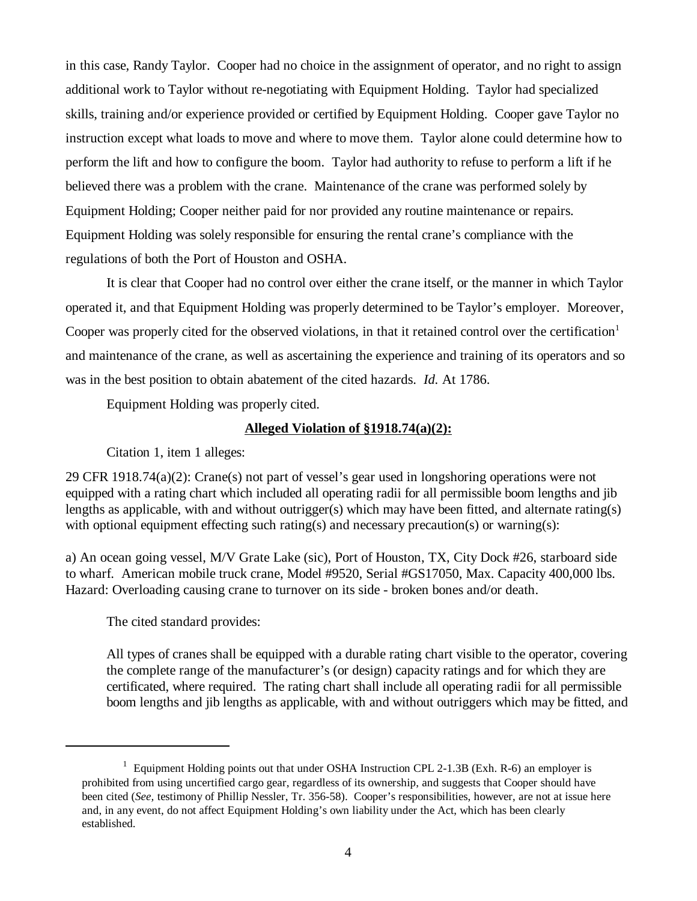in this case, Randy Taylor. Cooper had no choice in the assignment of operator, and no right to assign additional work to Taylor without re-negotiating with Equipment Holding. Taylor had specialized skills, training and/or experience provided or certified by Equipment Holding. Cooper gave Taylor no instruction except what loads to move and where to move them. Taylor alone could determine how to perform the lift and how to configure the boom. Taylor had authority to refuse to perform a lift if he believed there was a problem with the crane. Maintenance of the crane was performed solely by Equipment Holding; Cooper neither paid for nor provided any routine maintenance or repairs. Equipment Holding was solely responsible for ensuring the rental crane's compliance with the regulations of both the Port of Houston and OSHA.

It is clear that Cooper had no control over either the crane itself, or the manner in which Taylor operated it, and that Equipment Holding was properly determined to be Taylor's employer. Moreover, Cooper was properly cited for the observed violations, in that it retained control over the certification<sup>1</sup> and maintenance of the crane, as well as ascertaining the experience and training of its operators and so was in the best position to obtain abatement of the cited hazards. *Id.* At 1786.

Equipment Holding was properly cited.

# **Alleged Violation of §1918.74(a)(2):**

Citation 1, item 1 alleges:

29 CFR 1918.74(a)(2): Crane(s) not part of vessel's gear used in longshoring operations were not equipped with a rating chart which included all operating radii for all permissible boom lengths and jib lengths as applicable, with and without outrigger(s) which may have been fitted, and alternate rating(s) with optional equipment effecting such rating(s) and necessary precaution(s) or warning(s):

a) An ocean going vessel, M/V Grate Lake (sic), Port of Houston, TX, City Dock #26, starboard side to wharf. American mobile truck crane, Model #9520, Serial #GS17050, Max. Capacity 400,000 lbs. Hazard: Overloading causing crane to turnover on its side - broken bones and/or death.

The cited standard provides:

All types of cranes shall be equipped with a durable rating chart visible to the operator, covering the complete range of the manufacturer's (or design) capacity ratings and for which they are certificated, where required. The rating chart shall include all operating radii for all permissible boom lengths and jib lengths as applicable, with and without outriggers which may be fitted, and

<sup>&</sup>lt;sup>1</sup> Equipment Holding points out that under OSHA Instruction CPL 2-1.3B (Exh. R-6) an employer is prohibited from using uncertified cargo gear, regardless of its ownership, and suggests that Cooper should have been cited (*See,* testimony of Phillip Nessler, Tr. 356-58). Cooper's responsibilities, however, are not at issue here and, in any event, do not affect Equipment Holding's own liability under the Act, which has been clearly established.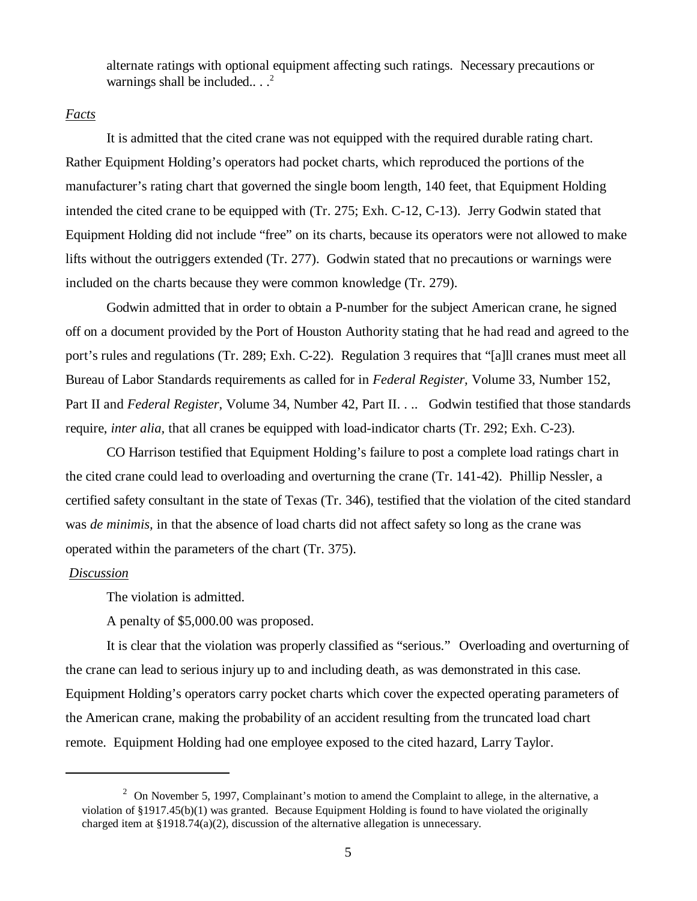alternate ratings with optional equipment affecting such ratings. Necessary precautions or warnings shall be included... $^2$ 

## *Facts*

It is admitted that the cited crane was not equipped with the required durable rating chart. Rather Equipment Holding's operators had pocket charts, which reproduced the portions of the manufacturer's rating chart that governed the single boom length, 140 feet, that Equipment Holding intended the cited crane to be equipped with (Tr. 275; Exh. C-12, C-13). Jerry Godwin stated that Equipment Holding did not include "free" on its charts, because its operators were not allowed to make lifts without the outriggers extended (Tr. 277). Godwin stated that no precautions or warnings were included on the charts because they were common knowledge (Tr. 279).

Godwin admitted that in order to obtain a P-number for the subject American crane, he signed off on a document provided by the Port of Houston Authority stating that he had read and agreed to the port's rules and regulations (Tr. 289; Exh. C-22). Regulation 3 requires that "[a]ll cranes must meet all Bureau of Labor Standards requirements as called for in *Federal Register,* Volume 33, Number 152, Part II and *Federal Register*, Volume 34, Number 42, Part II. . . . Godwin testified that those standards require, *inter alia,* that all cranes be equipped with load-indicator charts (Tr. 292; Exh. C-23).

CO Harrison testified that Equipment Holding's failure to post a complete load ratings chart in the cited crane could lead to overloading and overturning the crane (Tr. 141-42). Phillip Nessler, a certified safety consultant in the state of Texas (Tr. 346), testified that the violation of the cited standard was *de minimis,* in that the absence of load charts did not affect safety so long as the crane was operated within the parameters of the chart (Tr. 375).

#### *Discussion*

The violation is admitted.

A penalty of \$5,000.00 was proposed.

It is clear that the violation was properly classified as "serious." Overloading and overturning of the crane can lead to serious injury up to and including death, as was demonstrated in this case. Equipment Holding's operators carry pocket charts which cover the expected operating parameters of the American crane, making the probability of an accident resulting from the truncated load chart remote. Equipment Holding had one employee exposed to the cited hazard, Larry Taylor.

<sup>&</sup>lt;sup>2</sup> On November 5, 1997, Complainant's motion to amend the Complaint to allege, in the alternative, a violation of §1917.45(b)(1) was granted. Because Equipment Holding is found to have violated the originally charged item at §1918.74(a)(2), discussion of the alternative allegation is unnecessary.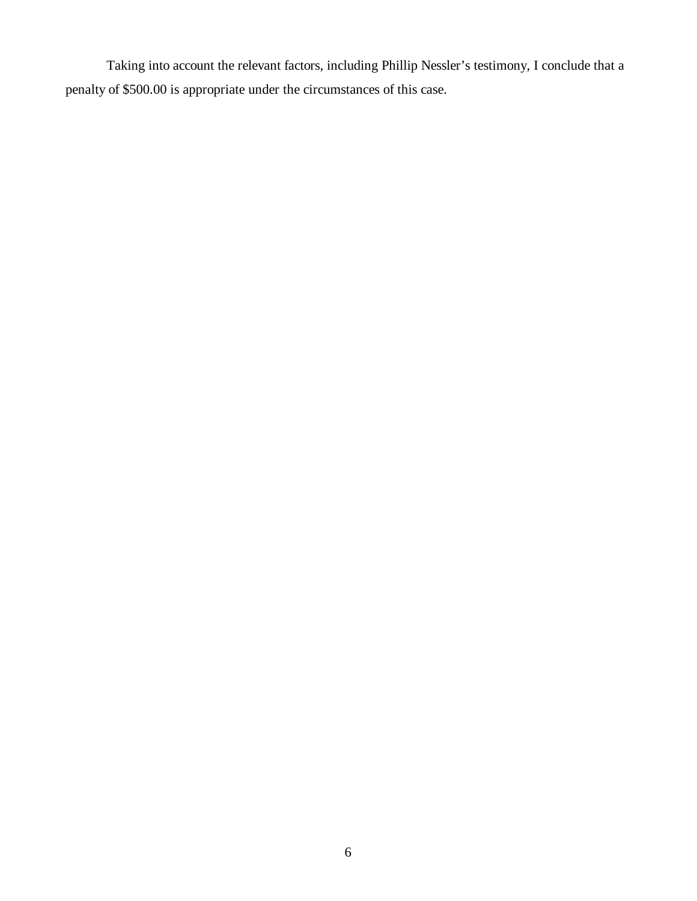Taking into account the relevant factors, including Phillip Nessler's testimony, I conclude that a penalty of \$500.00 is appropriate under the circumstances of this case.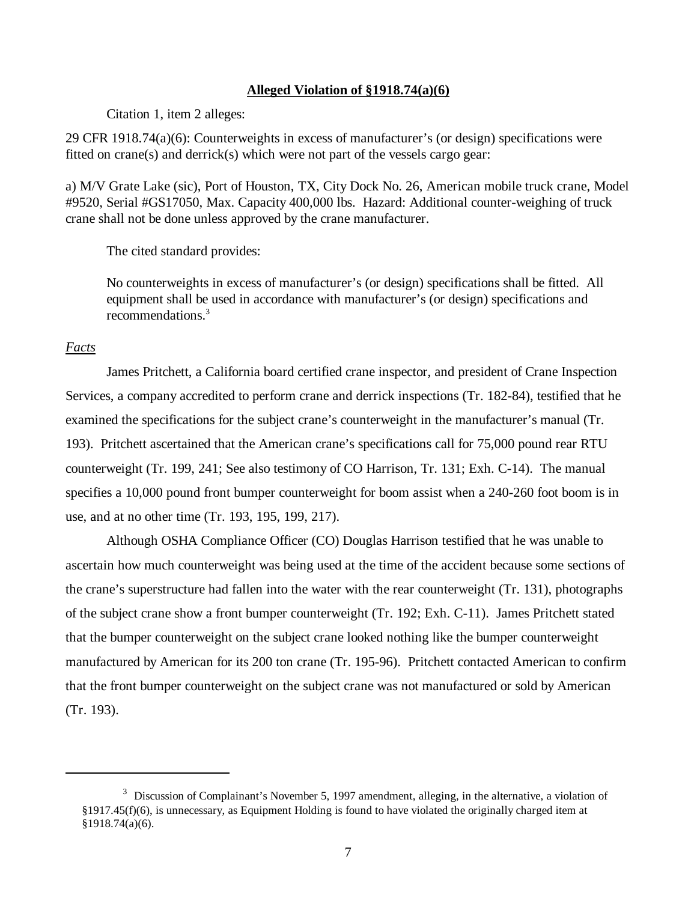#### **Alleged Violation of §1918.74(a)(6)**

Citation 1, item 2 alleges:

29 CFR 1918.74(a)(6): Counterweights in excess of manufacturer's (or design) specifications were fitted on crane(s) and derrick(s) which were not part of the vessels cargo gear:

a) M/V Grate Lake (sic), Port of Houston, TX, City Dock No. 26, American mobile truck crane, Model #9520, Serial #GS17050, Max. Capacity 400,000 lbs. Hazard: Additional counter-weighing of truck crane shall not be done unless approved by the crane manufacturer.

The cited standard provides:

No counterweights in excess of manufacturer's (or design) specifications shall be fitted. All equipment shall be used in accordance with manufacturer's (or design) specifications and recommendations.<sup>3</sup>

## *Facts*

James Pritchett, a California board certified crane inspector, and president of Crane Inspection Services, a company accredited to perform crane and derrick inspections (Tr. 182-84), testified that he examined the specifications for the subject crane's counterweight in the manufacturer's manual (Tr. 193). Pritchett ascertained that the American crane's specifications call for 75,000 pound rear RTU counterweight (Tr. 199, 241; See also testimony of CO Harrison, Tr. 131; Exh. C-14). The manual specifies a 10,000 pound front bumper counterweight for boom assist when a 240-260 foot boom is in use, and at no other time (Tr. 193, 195, 199, 217).

Although OSHA Compliance Officer (CO) Douglas Harrison testified that he was unable to ascertain how much counterweight was being used at the time of the accident because some sections of the crane's superstructure had fallen into the water with the rear counterweight (Tr. 131), photographs of the subject crane show a front bumper counterweight (Tr. 192; Exh. C-11). James Pritchett stated that the bumper counterweight on the subject crane looked nothing like the bumper counterweight manufactured by American for its 200 ton crane (Tr. 195-96). Pritchett contacted American to confirm that the front bumper counterweight on the subject crane was not manufactured or sold by American (Tr. 193).

 $3$  Discussion of Complainant's November 5, 1997 amendment, alleging, in the alternative, a violation of §1917.45(f)(6), is unnecessary, as Equipment Holding is found to have violated the originally charged item at §1918.74(a)(6).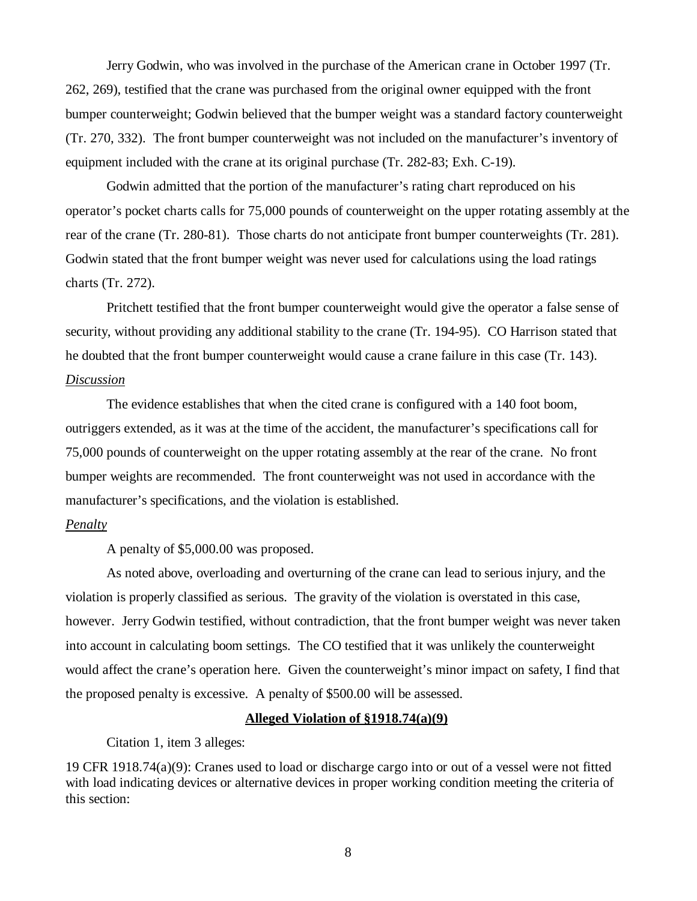Jerry Godwin, who was involved in the purchase of the American crane in October 1997 (Tr. 262, 269), testified that the crane was purchased from the original owner equipped with the front bumper counterweight; Godwin believed that the bumper weight was a standard factory counterweight (Tr. 270, 332). The front bumper counterweight was not included on the manufacturer's inventory of equipment included with the crane at its original purchase (Tr. 282-83; Exh. C-19).

Godwin admitted that the portion of the manufacturer's rating chart reproduced on his operator's pocket charts calls for 75,000 pounds of counterweight on the upper rotating assembly at the rear of the crane (Tr. 280-81). Those charts do not anticipate front bumper counterweights (Tr. 281). Godwin stated that the front bumper weight was never used for calculations using the load ratings charts (Tr. 272).

Pritchett testified that the front bumper counterweight would give the operator a false sense of security, without providing any additional stability to the crane (Tr. 194-95). CO Harrison stated that he doubted that the front bumper counterweight would cause a crane failure in this case (Tr. 143). *Discussion*

The evidence establishes that when the cited crane is configured with a 140 foot boom, outriggers extended, as it was at the time of the accident, the manufacturer's specifications call for 75,000 pounds of counterweight on the upper rotating assembly at the rear of the crane. No front bumper weights are recommended. The front counterweight was not used in accordance with the manufacturer's specifications, and the violation is established.

## *Penalty*

A penalty of \$5,000.00 was proposed.

As noted above, overloading and overturning of the crane can lead to serious injury, and the violation is properly classified as serious. The gravity of the violation is overstated in this case, however. Jerry Godwin testified, without contradiction, that the front bumper weight was never taken into account in calculating boom settings. The CO testified that it was unlikely the counterweight would affect the crane's operation here. Given the counterweight's minor impact on safety, I find that the proposed penalty is excessive. A penalty of \$500.00 will be assessed.

#### **Alleged Violation of §1918.74(a)(9)**

Citation 1, item 3 alleges:

19 CFR 1918.74(a)(9): Cranes used to load or discharge cargo into or out of a vessel were not fitted with load indicating devices or alternative devices in proper working condition meeting the criteria of this section:

8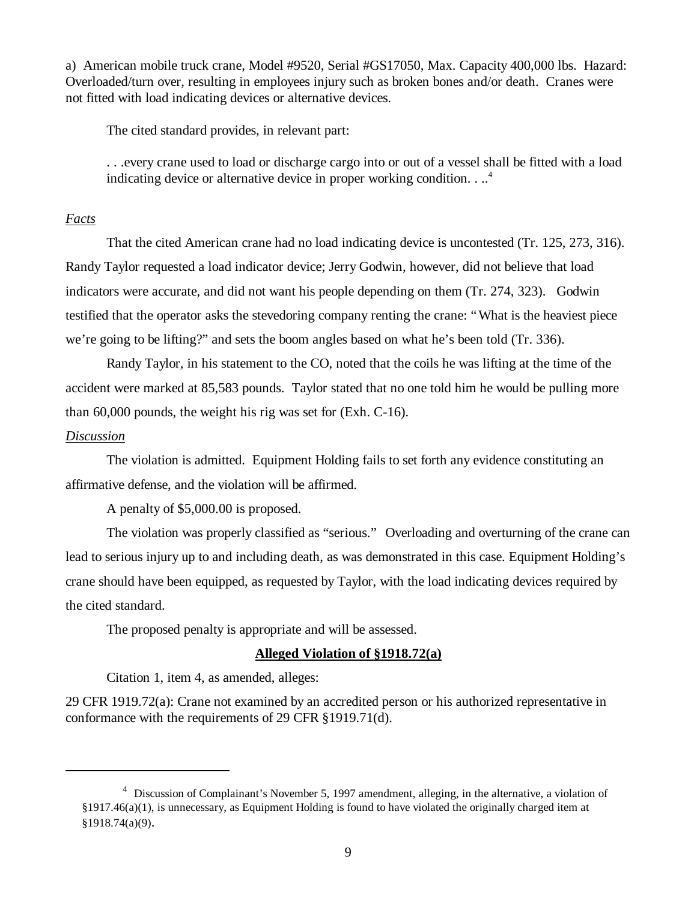a) American mobile truck crane, Model #9520, Serial #GS17050, Max. Capacity 400,000 lbs. Hazard: Overloaded/turn over, resulting in employees injury such as broken bones and/or death. Cranes were not fitted with load indicating devices or alternative devices.

The cited standard provides, in relevant part:

. . .every crane used to load or discharge cargo into or out of a vessel shall be fitted with a load indicating device or alternative device in proper working condition.  $\ldots$ <sup>4</sup>

# *Facts*

That the cited American crane had no load indicating device is uncontested (Tr. 125, 273, 316). Randy Taylor requested a load indicator device; Jerry Godwin, however, did not believe that load indicators were accurate, and did not want his people depending on them (Tr. 274, 323). Godwin testified that the operator asks the stevedoring company renting the crane: "What is the heaviest piece we're going to be lifting?" and sets the boom angles based on what he's been told (Tr. 336).

Randy Taylor, in his statement to the CO, noted that the coils he was lifting at the time of the accident were marked at 85,583 pounds. Taylor stated that no one told him he would be pulling more than 60,000 pounds, the weight his rig was set for (Exh. C-16).

#### *Discussion*

The violation is admitted. Equipment Holding fails to set forth any evidence constituting an affirmative defense, and the violation will be affirmed.

A penalty of \$5,000.00 is proposed.

The violation was properly classified as "serious." Overloading and overturning of the crane can lead to serious injury up to and including death, as was demonstrated in this case. Equipment Holding's crane should have been equipped, as requested by Taylor, with the load indicating devices required by the cited standard.

The proposed penalty is appropriate and will be assessed.

# **Alleged Violation of §1918.72(a)**

Citation 1, item 4, as amended, alleges:

29 CFR 1919.72(a): Crane not examined by an accredited person or his authorized representative in conformance with the requirements of 29 CFR §1919.71(d).

<sup>&</sup>lt;sup>4</sup> Discussion of Complainant's November 5, 1997 amendment, alleging, in the alternative, a violation of §1917.46(a)(1), is unnecessary, as Equipment Holding is found to have violated the originally charged item at §1918.74(a)(9).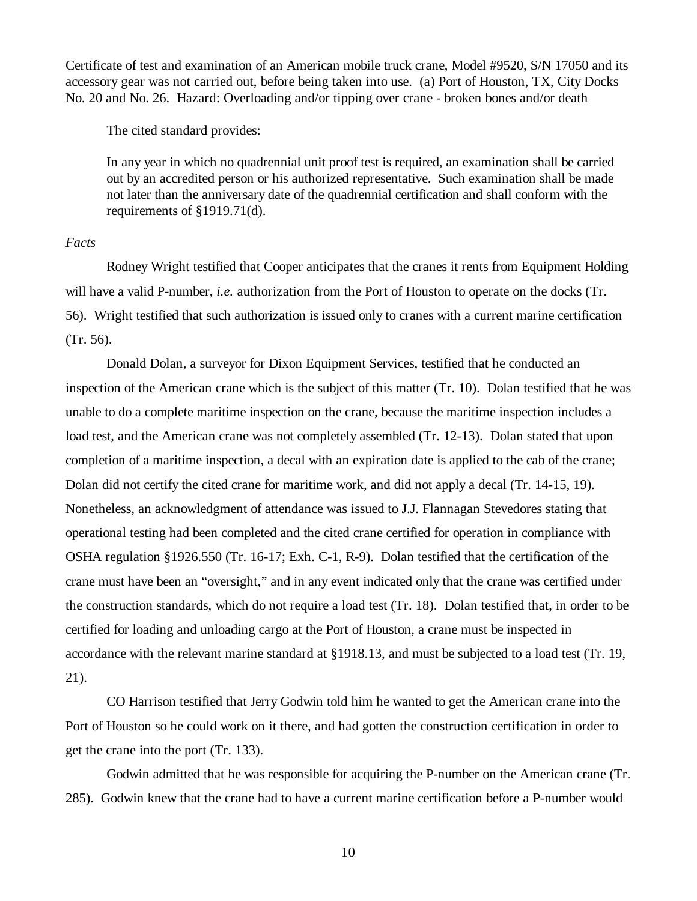Certificate of test and examination of an American mobile truck crane, Model #9520, S/N 17050 and its accessory gear was not carried out, before being taken into use. (a) Port of Houston, TX, City Docks No. 20 and No. 26. Hazard: Overloading and/or tipping over crane - broken bones and/or death

The cited standard provides:

In any year in which no quadrennial unit proof test is required, an examination shall be carried out by an accredited person or his authorized representative. Such examination shall be made not later than the anniversary date of the quadrennial certification and shall conform with the requirements of §1919.71(d).

# *Facts*

Rodney Wright testified that Cooper anticipates that the cranes it rents from Equipment Holding will have a valid P-number, *i.e.* authorization from the Port of Houston to operate on the docks (Tr. 56). Wright testified that such authorization is issued only to cranes with a current marine certification (Tr. 56).

Donald Dolan, a surveyor for Dixon Equipment Services, testified that he conducted an inspection of the American crane which is the subject of this matter (Tr. 10). Dolan testified that he was unable to do a complete maritime inspection on the crane, because the maritime inspection includes a load test, and the American crane was not completely assembled (Tr. 12-13). Dolan stated that upon completion of a maritime inspection, a decal with an expiration date is applied to the cab of the crane; Dolan did not certify the cited crane for maritime work, and did not apply a decal (Tr. 14-15, 19). Nonetheless, an acknowledgment of attendance was issued to J.J. Flannagan Stevedores stating that operational testing had been completed and the cited crane certified for operation in compliance with OSHA regulation §1926.550 (Tr. 16-17; Exh. C-1, R-9). Dolan testified that the certification of the crane must have been an "oversight," and in any event indicated only that the crane was certified under the construction standards, which do not require a load test (Tr. 18). Dolan testified that, in order to be certified for loading and unloading cargo at the Port of Houston, a crane must be inspected in accordance with the relevant marine standard at §1918.13, and must be subjected to a load test (Tr. 19, 21).

CO Harrison testified that Jerry Godwin told him he wanted to get the American crane into the Port of Houston so he could work on it there, and had gotten the construction certification in order to get the crane into the port (Tr. 133).

Godwin admitted that he was responsible for acquiring the P-number on the American crane (Tr. 285). Godwin knew that the crane had to have a current marine certification before a P-number would